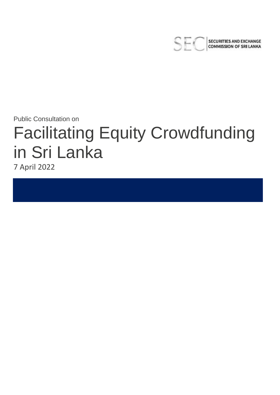

**SECURITIES AND EXCHANGE COMMISSION OF SRI LANKA** 

Public Consultation on

# Facilitating Equity Crowdfunding in Sri Lanka

7 April 2022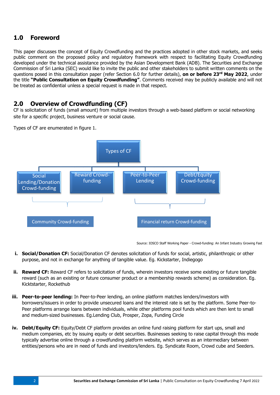# **1.0 Foreword**

This paper discusses the concept of Equity Crowdfunding and the practices adopted in other stock markets, and seeks public comment on the proposed policy and regulatory framework with respect to facilitating Equity Crowdfunding developed under the technical assistance provided by the Asian Development Bank (ADB). The Securities and Exchange Commission of Sri Lanka (SEC) would like to invite the public and other stakeholders to submit written comments on the questions posed in this consultation paper (refer Section 6.0 for further details), **on or before 23rd May 2022**, under the title **"Public Consultation on Equity Crowdfunding"**. Comments received may be publicly available and will not be treated as confidential unless a special request is made in that respect.

# **2.0 Overview of Crowdfunding (CF)**

CF is solicitation of funds (small amount) from multiple investors through a web-based platform or social networking site for a specific project, business venture or social cause.

Types of CF are enumerated in figure 1.



Source: IOSCO Staff Working Paper - Crowd-funding: An Infant Industry Growing Fast

- **i. Social/Donation CF:** Social/Donation CF denotes solicitation of funds for social, artistic, philanthropic or other purpose, and not in exchange for anything of tangible value. Eg. Kickstarter, Indiegogo
- **ii.** Reward CF: Reward CF refers to solicitation of funds, wherein investors receive some existing or future tangible reward (such as an existing or future consumer product or a membership rewards scheme) as consideration. Eg. Kicktstarter, Rockethub
- **iii. Peer-to-peer lending:** In Peer-to-Peer lending, an online platform matches lenders/investors with borrowers/issuers in order to provide unsecured loans and the interest rate is set by the platform. Some Peer-to-Peer platforms arrange loans between individuals, while other platforms pool funds which are then lent to small and medium-sized businesses. Eg.Lending Club, Prosper, Zopa, Funding Circle
- **iv. Debt/Equity CF:** Equity/Debt CF platform provides an online fund raising platform for start ups, small and medium companies, etc by issuing equity or debt securities. Businesses seeking to raise capital through this mode typically advertise online through a crowdfunding platform website, which serves as an intermediary between entities/persons who are in need of funds and investors/lenders. Eg. Syndicate Room, Crowd cube and Seeders.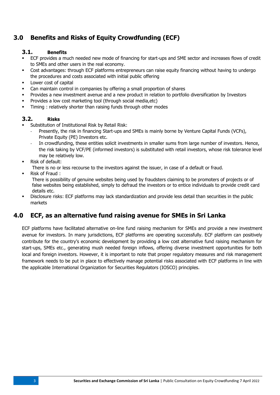# **3.0 Benefits and Risks of Equity Crowdfunding (ECF)**

## **3.1. Benefits**

- ECF provides a much needed new mode of financing for start-ups and SME sector and increases flows of credit to SMEs and other users in the real economy.
- Cost advantages: through ECF platforms entrepreneurs can raise equity financing without having to undergo the procedures and costs associated with initial public offering
- **Lower cost of capital**
- Can maintain control in companies by offering a small proportion of shares
- Provides a new investment avenue and a new product in relation to portfolio diversification by Investors
- Provides a low cost marketing tool (through social media,etc)
- **Timing : relatively shorter than raising funds through other modes**

## **3.2. Risks**

- Substitution of Institutional Risk by Retail Risk:
	- Presently, the risk in financing Start-ups and SMEs is mainly borne by Venture Capital Funds (VCFs), Private Equity (PE) Investors etc.
	- In crowdfunding, these entities solicit investments in smaller sums from large number of investors. Hence, the risk taking by VCF/PE (informed investors) is substituted with retail investors, whose risk tolerance level may be relatively low.
- Risk of default:

There is no or less recourse to the investors against the issuer, in case of a default or fraud.

Risk of Fraud :

There is possibility of genuine websites being used by fraudsters claiming to be promoters of projects or of false websites being established, simply to defraud the investors or to entice individuals to provide credit card details etc.

 Disclosure risks: ECF platforms may lack standardization and provide less detail than securities in the public markets

## **4.0 ECF, as an alternative fund raising avenue for SMEs in Sri Lanka**

ECF platforms have facilitated alternative on-line fund raising mechanism for SMEs and provide a new investment avenue for investors. In many jurisdictions, ECF platforms are operating successfully. ECF platform can positively contribute for the country's economic development by providing a low cost alternative fund raising mechanism for start-ups, SMEs etc., generating mush needed foreign inflows, offering diverse investment opportunities for both local and foreign investors. However, it is important to note that proper regulatory measures and risk management framework needs to be put in place to effectively manage potential risks associated with ECF platforms in line with the applicable International Organization for Securities Regulators (IOSCO) principles.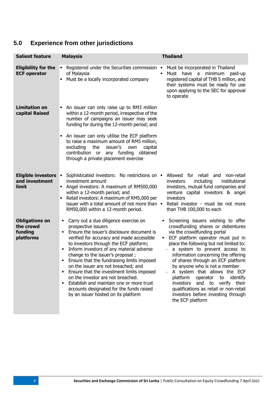# **5.0 Experience from other jurisdictions**

| <b>Salient feature</b>                                     | <b>Malaysia</b>                                                                                                                                                                                                                                                                                                                                                                                                                                                                                                                                                                                   | <b>Thailand</b>                                                                                                                                                                                                                                                                                                                                                                                                                                                                                                                                               |
|------------------------------------------------------------|---------------------------------------------------------------------------------------------------------------------------------------------------------------------------------------------------------------------------------------------------------------------------------------------------------------------------------------------------------------------------------------------------------------------------------------------------------------------------------------------------------------------------------------------------------------------------------------------------|---------------------------------------------------------------------------------------------------------------------------------------------------------------------------------------------------------------------------------------------------------------------------------------------------------------------------------------------------------------------------------------------------------------------------------------------------------------------------------------------------------------------------------------------------------------|
| <b>Eligibility for the</b><br><b>ECF operator</b>          | Registered under the Securities commission<br>٠<br>of Malaysia<br>Must be a locally incorporated company                                                                                                                                                                                                                                                                                                                                                                                                                                                                                          | Must be incorporated in Thailand<br>٠<br>Must have a minimum<br>paid-up<br>registered capital of THB 5 million, and<br>their systems must be ready for use<br>upon applying to the SEC for approval<br>to operate                                                                                                                                                                                                                                                                                                                                             |
| <b>Limitation on</b><br>capital Raised                     | An issuer can only raise up to RM3 million<br>٠<br>within a 12-month period, irrespective of the<br>number of campaigns an issuer may seek<br>funding for during the 12-month period; and<br>An issuer can only utilise the ECF platform<br>٠<br>to raise a maximum amount of RM5 million,<br>excluding<br>the<br>issuer's<br>own<br>capital<br>contribution or any funding obtained<br>through a private placement exercise                                                                                                                                                                      |                                                                                                                                                                                                                                                                                                                                                                                                                                                                                                                                                               |
| <b>Eligible investors</b><br>and investment<br>limit       | Sophisticated investors: No restrictions on . Allowed for retail and<br>٠<br>investment amount<br>• Angel investors: A maximum of RM500,000<br>within a 12-month period; and<br>Retail investors: A maximum of RM5,000 per<br>٠<br>issuer with a total amount of not more than $\blacksquare$<br>RM50,000 within a 12-month period.                                                                                                                                                                                                                                                               | non-retail<br>including<br>investors<br>institutional<br>investors, mutual fund companies and<br>venture capital investors & angel<br>investors<br>Retail investor - must be not more<br>than THB 100,000 to each                                                                                                                                                                                                                                                                                                                                             |
| <b>Obligations on</b><br>the crowd<br>funding<br>platforms | Carry out a due diligence exercise on<br>٠<br>prospective issuers<br>Ensure the issuer's disclosure document is<br>verified for accuracy and made accessible<br>to investors through the ECF platform;<br>Inform investors of any material adverse<br>٠<br>change to the issuer's proposal;<br>Ensure that the fundraising limits imposed<br>on the issuer are not breached; and<br>Ensure that the investment limits imposed<br>on the investor are not breached.<br>Establish and maintain one or more trust<br>accounts designated for the funds raised<br>by an issuer hosted on its platform | Screening issuers wishing to offer<br>crowdfunding shares or debentures<br>via the crowdfunding portal<br>ECF platform operator must put in<br>place the following but not limited to:<br>a system to prevent access to<br>$\sim$<br>information concerning the offering<br>of shares through an ECF platform<br>by anyone who is not a member<br>A system that allows the ECF<br>platform<br>operator<br>identify<br>to<br>investors and to verify their<br>qualifications as retail or non-retail<br>investors before investing through<br>the ECF platform |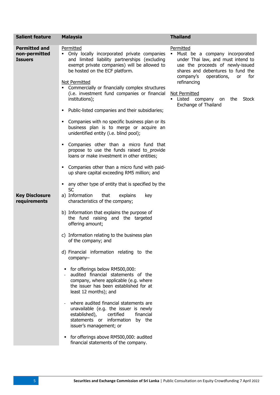| <b>Salient feature</b>                                  | <b>Malaysia</b>                                                                                                                                                                                                                                                          | <b>Thailand</b>                                                                                                                                                                                                           |
|---------------------------------------------------------|--------------------------------------------------------------------------------------------------------------------------------------------------------------------------------------------------------------------------------------------------------------------------|---------------------------------------------------------------------------------------------------------------------------------------------------------------------------------------------------------------------------|
| <b>Permitted and</b><br>non-permitted<br><b>Issuers</b> | Permitted<br>Only locally incorporated private companies<br>٠<br>and limited liability partnerships (excluding<br>exempt private companies) will be allowed to<br>be hosted on the ECF platform.<br>Not Permitted<br>Commercially or financially complex structures<br>٠ | Permitted<br>Must be a company incorporated<br>under Thai law, and must intend to<br>use the proceeds of newly-issued<br>shares and debentures to fund the<br>company's<br>operations,<br>for<br><b>or</b><br>refinancing |
|                                                         | (i.e. investment fund companies or financial<br>institutions);                                                                                                                                                                                                           | Not Permitted<br>Listed<br>company<br>Stock<br>on<br>the<br>Exchange of Thailand                                                                                                                                          |
|                                                         | Public-listed companies and their subsidiaries;<br>٠                                                                                                                                                                                                                     |                                                                                                                                                                                                                           |
|                                                         | Companies with no specific business plan or its<br>Е<br>business plan is to merge or acquire an<br>unidentified entity (i.e. blind pool);                                                                                                                                |                                                                                                                                                                                                                           |
|                                                         | Companies other than a micro fund that<br>٠<br>propose to use the funds raised to_provide<br>loans or make investment in other entities;                                                                                                                                 |                                                                                                                                                                                                                           |
|                                                         | Companies other than a micro fund with paid-<br>Е<br>up share capital exceeding RM5 million; and                                                                                                                                                                         |                                                                                                                                                                                                                           |
|                                                         | any other type of entity that is specified by the<br>٠<br>SC                                                                                                                                                                                                             |                                                                                                                                                                                                                           |
| <b>Key Disclosure</b><br>requirements                   | a) Information<br>that<br>explains<br>key<br>characteristics of the company;                                                                                                                                                                                             |                                                                                                                                                                                                                           |
|                                                         | b) Information that explains the purpose of<br>the fund raising and the targeted<br>offering amount;                                                                                                                                                                     |                                                                                                                                                                                                                           |
|                                                         | c) Information relating to the business plan<br>of the company; and                                                                                                                                                                                                      |                                                                                                                                                                                                                           |
|                                                         | d) Financial information relating to the<br>company-                                                                                                                                                                                                                     |                                                                                                                                                                                                                           |
|                                                         | for offerings below RM500,000:<br>٠<br>audited financial statements of the<br>company, where applicable (e.g. where<br>the issuer has been established for at<br>least 12 months); and                                                                                   |                                                                                                                                                                                                                           |
|                                                         | where audited financial statements are<br>unavailable (e.g. the issuer is newly<br>certified<br>financial<br>established),<br>statements or information<br>by the<br>issuer's management; or                                                                             |                                                                                                                                                                                                                           |
|                                                         | for offerings above RM500,000: audited<br>٠<br>financial statements of the company.                                                                                                                                                                                      |                                                                                                                                                                                                                           |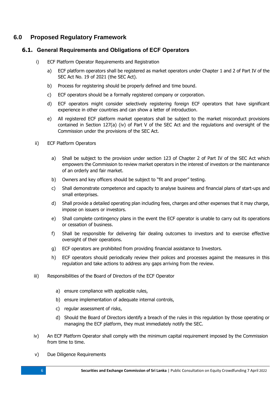## **6.0 Proposed Regulatory Framework**

## **6.1. General Requirements and Obligations of ECF Operators**

- i) ECF Platform Operator Requirements and Registration
	- a) ECF platform operators shall be registered as market operators under Chapter 1 and 2 of Part IV of the SEC Act No. 19 of 2021 (the SEC Act).
	- b) Process for registering should be properly defined and time bound.
	- c) ECF operators should be a formally registered company or corporation.
	- d) ECF operators might consider selectively registering foreign ECF operators that have significant experience in other countries and can show a letter of introduction.
	- e) All registered ECF platform market operators shall be subject to the market misconduct provisions contained in Section 127(a) (iv) of Part V of the SEC Act and the regulations and oversight of the Commission under the provisions of the SEC Act.
- ii) ECF Platform Operators
	- a) Shall be subject to the provision under section 123 of Chapter 2 of Part IV of the SEC Act which empowers the Commission to review market operators in the interest of investors or the maintenance of an orderly and fair market.
	- b) Owners and key officers should be subject to "fit and proper" testing.
	- c) Shall demonstrate competence and capacity to analyse business and financial plans of start-ups and small enterprises.
	- d) Shall provide a detailed operating plan including fees, charges and other expenses that it may charge, impose on issuers or investors.
	- e) Shall complete contingency plans in the event the ECF operator is unable to carry out its operations or cessation of business.
	- f) Shall be responsible for delivering fair dealing outcomes to investors and to exercise effective oversight of their operations.
	- g) ECF operators are prohibited from providing financial assistance to Investors.
	- h) ECF operators should periodically review their polices and processes against the measures in this regulation and take actions to address any gaps arriving from the review.
- iii) Responsibilities of the Board of Directors of the ECF Operator
	- a) ensure compliance with applicable rules,
	- b) ensure implementation of adequate internal controls,
	- c) regular assessment of risks,
	- d) Should the Board of Directors identify a breach of the rules in this regulation by those operating or managing the ECF platform, they must immediately notify the SEC.
- iv) An ECF Platform Operator shall comply with the minimum capital requirement imposed by the Commission from time to time.
- v) Due Diligence Requirements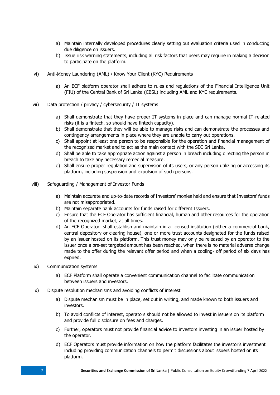- a) Maintain internally developed procedures clearly setting out evaluation criteria used in conducting due diligence on issuers.
- b) Issue risk warning statements, including all risk factors that users may require in making a decision to participate on the platform.
- vi) Anti‐Money Laundering (AML) / Know Your Client (KYC) Requirements
	- a) An ECF platform operator shall adhere to rules and regulations of the Financial Intelligence Unit (FIU) of the Central Bank of Sri Lanka (CBSL) including AML and KYC requirements.
- vii) Data protection / privacy / cybersecurity / IT systems
	- a) Shall demonstrate that they have proper IT systems in place and can manage normal IT-related risks (it is a fintech, so should have fintech capacity).
	- b) Shall demonstrate that they will be able to manage risks and can demonstrate the processes and contingency arrangements in place where they are unable to carry out operations.
	- c) Shall appoint at least one person to be responsible for the operation and financial management of the recognized market and to act as the main contact with the SEC Sri Lanka.
	- d) Shall be able to take appropriate action against a person in breach including directing the person in breach to take any necessary remedial measure.
	- e) Shall ensure proper regulation and supervision of its users, or any person utilizing or accessing its platform, including suspension and expulsion of such persons.
- viii) Safeguarding / Management of Investor Funds
	- a) Maintain accurate and up-to-date records of Investors' monies held and ensure that Investors' funds are not misappropriated.
	- b) Maintain separate bank accounts for funds raised for different Issuers.
	- c) Ensure that the ECF Operator has sufficient financial, human and other resources for the operation of the recognized market, at all times.
	- d) An ECF Operator shall establish and maintain in a licensed institution (either a commercial bank, central depository or clearing house), one or more trust accounts designated for the funds raised by an issuer hosted on its platform. This trust money may only be released by an operator to the issuer once a pre‐set targeted amount has been reached, when there is no material adverse change made to the offer during the relevant offer period and when a cooling- off period of six days has expired.
- ix) Communication systems
	- a) ECF Platform shall operate a convenient communication channel to facilitate communication between issuers and investors.
- x) Dispute resolution mechanisms and avoiding conflicts of interest
	- a) Dispute mechanism must be in place, set out in writing, and made known to both issuers and investors.
	- b) To avoid conflicts of interest, operators should not be allowed to invest in issuers on its platform and provide full disclosure on fees and charges.
	- c) Further, operators must not provide financial advice to investors investing in an issuer hosted by the operator.
	- d) ECF Operators must provide information on how the platform facilitates the investor's investment including providing communication channels to permit discussions about issuers hosted on its platform.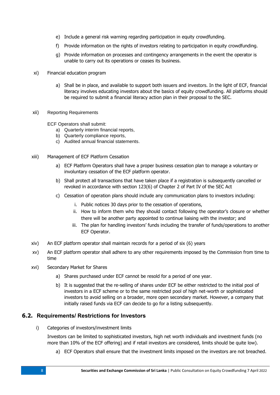- e) Include a general risk warning regarding participation in equity crowdfunding.
- f) Provide information on the rights of investors relating to participation in equity crowdfunding.
- g) Provide information on processes and contingency arrangements in the event the operator is unable to carry out its operations or ceases its business.
- xi) Financial education program
	- a) Shall be in place, and available to support both issuers and investors. In the light of ECF, financial literacy involves educating investors about the basics of equity crowdfunding. All platforms should be required to submit a financial literacy action plan in their proposal to the SEC.
- xii) Reporting Requirements

ECF Operators shall submit:

- a) Quarterly interim financial reports,
- b) Quarterly compliance reports,
- c) Audited annual financial statements.
- xiii) Management of ECF Platform Cessation
	- a) ECF Platform Operators shall have a proper business cessation plan to manage a voluntary or involuntary cessation of the ECF platform operator.
	- b) Shall protect all transactions that have taken place if a registration is subsequently cancelled or revoked in accordance with section 123(6) of Chapter 2 of Part IV of the SEC Act
	- c) Cessation of operation plans should include any communication plans to investors including:
		- i. Public notices 30 days prior to the cessation of operations,
		- ii. How to inform them who they should contact following the operator's closure or whether there will be another party appointed to continue liaising with the investor; and
		- iii. The plan for handling investors' funds including the transfer of funds/operations to another ECF Operator.
- xiv) An ECF platform operator shall maintain records for a period of six (6) years
- xv) An ECF platform operator shall adhere to any other requirements imposed by the Commission from time to time
- xvi) Secondary Market for Shares
	- a) Shares purchased under ECF cannot be resold for a period of one year.
	- b) It is suggested that the re-selling of shares under ECF be either restricted to the initial pool of investors in a ECF scheme or to the same restricted pool of high net-worth or sophisticated investors to avoid selling on a broader, more open secondary market. However, a company that initially raised funds via ECF can decide to go for a listing subsequently.

## **6.2. Requirements/ Restrictions for Investors**

i) Categories of investors/investment limits

Investors can be limited to sophisticated investors, high net worth individuals and investment funds (no more than 10% of the ECF offering) and if retail investors are considered, limits should be quite low).

a) ECF Operators shall ensure that the investment limits imposed on the investors are not breached.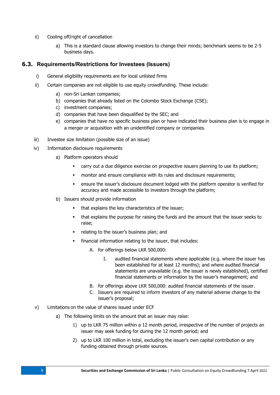- ii) Cooling off/right of cancellation
	- a) This is a standard clause allowing investors to change their minds; benchmark seems to be 2-5 business days.

#### **6.3. Requirements/Restrictions for Investees (Issuers)**

- i) General eligibility requirements are for local unlisted firms
- ii) Certain companies are not eligible to use equity crowdfunding. These include:
	- a) non-Sri Lankan companies;
	- b) companies that already listed on the Colombo Stock Exchange (CSE);
	- c) investment companies;
	- d) companies that have been disqualified by the SEC; and
	- e) companies that have no specific business plan or have indicated their business plan is to engage in a merger or acquisition with an unidentified company or companies.
- iii) Investee size limitation (possible size of an issue)
- iv) Information disclosure requirements
	- a) Platform operators should
		- carry out a due diligence exercise on prospective issuers planning to use its platform;
		- monitor and ensure compliance with its rules and disclosure requirements;
		- ensure the issuer's disclosure document lodged with the platform operator is verified for accuracy and made accessible to investors through the platform;
	- b) Issuers should provide information
		- that explains the key characteristics of the issuer;
		- that explains the purpose for raising the funds and the amount that the issuer seeks to raise;
		- **•** relating to the issuer's business plan; and
		- financial information relating to the issuer, that includes:
			- A. for offerings below LKR 500,000:
				- I. audited financial statements where applicable (e.g. where the issuer has been established for at least 12 months); and where audited financial statements are unavailable (e.g. the issuer is newly established), certified financial statements or information by the issuer's management; and
			- B. for offerings above LKR 500,000: audited financial statements of the issuer.
			- C. Issuers are required to inform investors of any material adverse change to the issuer's proposal;
- v) Limitations on the value of shares issued under ECF
	- a) The following limits on the amount that an issuer may raise:
		- 1) up to LKR 75 million within a 12 month period, irrespective of the number of projects an issuer may seek funding for during the 12 month period; and
		- 2) up to LKR 100 million in total, excluding the issuer's own capital contribution or any funding obtained through private sources.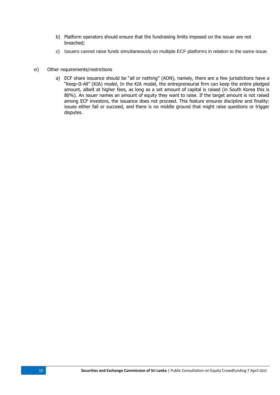- b) Platform operators should ensure that the fundraising limits imposed on the issuer are not breached;
- c) Issuers cannot raise funds simultaneously on multiple ECF platforms in relation to the same issue.
- vi) Other requirements/restrictions
	- a) ECF share issuance should be "all or nothing" (AON), namely, there are a few jurisdictions have a "Keep-It-All" (KIA) model, In the KIA model, the entrepreneurial firm can keep the entire pledged amount, albeit at higher fees, as long as a set amount of capital is raised (in South Korea this is 80%). An issuer names an amount of equity they want to raise. If the target amount is not raised among ECF investors, the issuance does not proceed. This feature ensures discipline and finality: issues either fail or succeed, and there is no middle ground that might raise questions or trigger disputes.